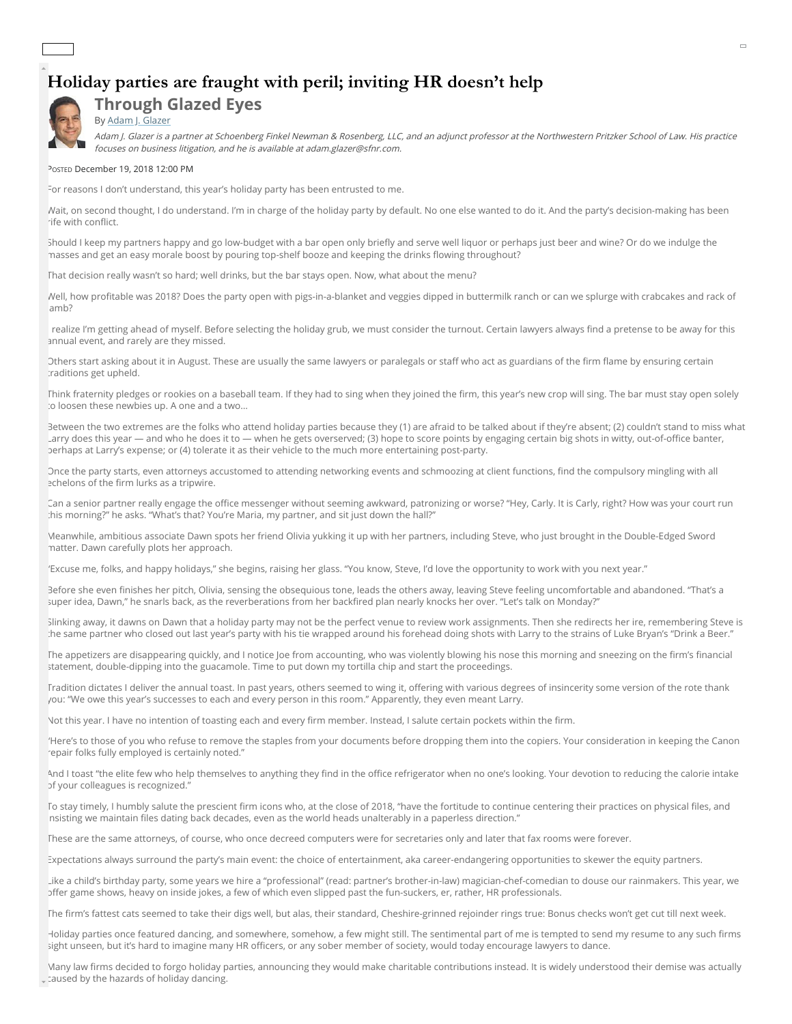## **Holiday parties are fraught with peril; inviting HR doesn't help**



## **Through Glazed Eyes** By [Adam J. Glazer](mailto:editor@lawbulletinmedia.com?subject=Column%20by%20Adam%20J.%20Glazer)

Adam J. Glazer is a partner at Schoenberg Finkel Newman & Rosenberg, LLC, and an adjunct professor at the Northwestern Pritzker School of Law. His practice focuses on business litigation, and he is available at adam.glazer@sfnr.com.

POSTED December 19, 2018 12:00 PM

For reasons I don't understand, this year's holiday party has been entrusted to me.

Wait, on second thought, I do understand. I'm in charge of the holiday party by default. No one else wanted to do it. And the party's decision-making has been rife with conflict.

Should I keep my partners happy and go low-budget with a bar open only briefly and serve well liquor or perhaps just beer and wine? Or do we indulge the masses and get an easy morale boost by pouring top-shelf booze and keeping the drinks flowing throughout?

That decision really wasn't so hard; well drinks, but the bar stays open. Now, what about the menu?

Well, how profitable was 2018? Does the party open with pigs-in-a-blanket and veggies dipped in buttermilk ranch or can we splurge with crabcakes and rack of lamb?

realize I'm getting ahead of myself. Before selecting the holiday grub, we must consider the turnout. Certain lawyers always find a pretense to be away for this annual event, and rarely are they missed.

Others start asking about it in August. These are usually the same lawyers or paralegals or staff who act as guardians of the firm flame by ensuring certain traditions get upheld.

Think fraternity pledges or rookies on a baseball team. If they had to sing when they joined the firm, this year's new crop will sing. The bar must stay open solely to loosen these newbies up. A one and a two...

Between the two extremes are the folks who attend holiday parties because they (1) are afraid to be talked about if they're absent; (2) couldn't stand to miss what Larry does this year — and who he does it to — when he gets overserved; (3) hope to score points by engaging certain big shots in witty, out-of-office banter, perhaps at Larry's expense; or (4) tolerate it as their vehicle to the much more entertaining post-party.

Once the party starts, even attorneys accustomed to attending networking events and schmoozing at client functions, find the compulsory mingling with all echelons of the firm lurks as a tripwire.

Can a senior partner really engage the office messenger without seeming awkward, patronizing or worse? "Hey, Carly. It is Carly, right? How was your court run this morning?" he asks. "What's that? You're Maria, my partner, and sit just down the hall?"

Meanwhile, ambitious associate Dawn spots her friend Olivia yukking it up with her partners, including Steve, who just brought in the Double-Edged Sword matter. Dawn carefully plots her approach.

"Excuse me, folks, and happy holidays," she begins, raising her glass. "You know, Steve, I'd love the opportunity to work with you next year."

Before she even finishes her pitch, Olivia, sensing the obsequious tone, leads the others away, leaving Steve feeling uncomfortable and abandoned. "That's a super idea, Dawn," he snarls back, as the reverberations from her backfired plan nearly knocks her over. "Let's talk on Monday?"

Slinking away, it dawns on Dawn that a holiday party may not be the perfect venue to review work assignments. Then she redirects her ire, remembering Steve is the same partner who closed out last year's party with his tie wrapped around his forehead doing shots with Larry to the strains of Luke Bryan's "Drink a Beer."

The appetizers are disappearing quickly, and I notice Joe from accounting, who was violently blowing his nose this morning and sneezing on the firm's financial statement, double-dipping into the guacamole. Time to put down my tortilla chip and start the proceedings.

Tradition dictates I deliver the annual toast. In past years, others seemed to wing it, offering with various degrees of insincerity some version of the rote thank you: "We owe this year's successes to each and every person in this room." Apparently, they even meant Larry.

Not this year. I have no intention of toasting each and every firm member. Instead, I salute certain pockets within the firm.

"Here's to those of you who refuse to remove the staples from your documents before dropping them into the copiers. Your consideration in keeping the Canon repair folks fully employed is certainly noted."

And I toast "the elite few who help themselves to anything they find in the office refrigerator when no one's looking. Your devotion to reducing the calorie intake of your colleagues is recognized."

To stay timely, I humbly salute the prescient firm icons who, at the close of 2018, "have the fortitude to continue centering their practices on physical files, and nsisting we maintain files dating back decades, even as the world heads unalterably in a paperless direction."

These are the same attorneys, of course, who once decreed computers were for secretaries only and later that fax rooms were forever.

Expectations always surround the party's main event: the choice of entertainment, aka career-endangering opportunities to skewer the equity partners.

Like a child's birthday party, some years we hire a "professional" (read: partner's brother-in-law) magician-chef-comedian to douse our rainmakers. This year, we offer game shows, heavy on inside jokes, a few of which even slipped past the fun-suckers, er, rather, HR professionals.

The firm's fattest cats seemed to take their digs well, but alas, their standard, Cheshire-grinned rejoinder rings true: Bonus checks won't get cut till next week.

Holiday parties once featured dancing, and somewhere, somehow, a few might still. The sentimental part of me is tempted to send my resume to any such firms sight unseen, but it's hard to imagine many HR officers, or any sober member of society, would today encourage lawyers to dance.

Many law firms decided to forgo holiday parties, announcing they would make charitable contributions instead. It is widely understood their demise was actually <sub>v</sub> taused by the hazards of holiday dancing.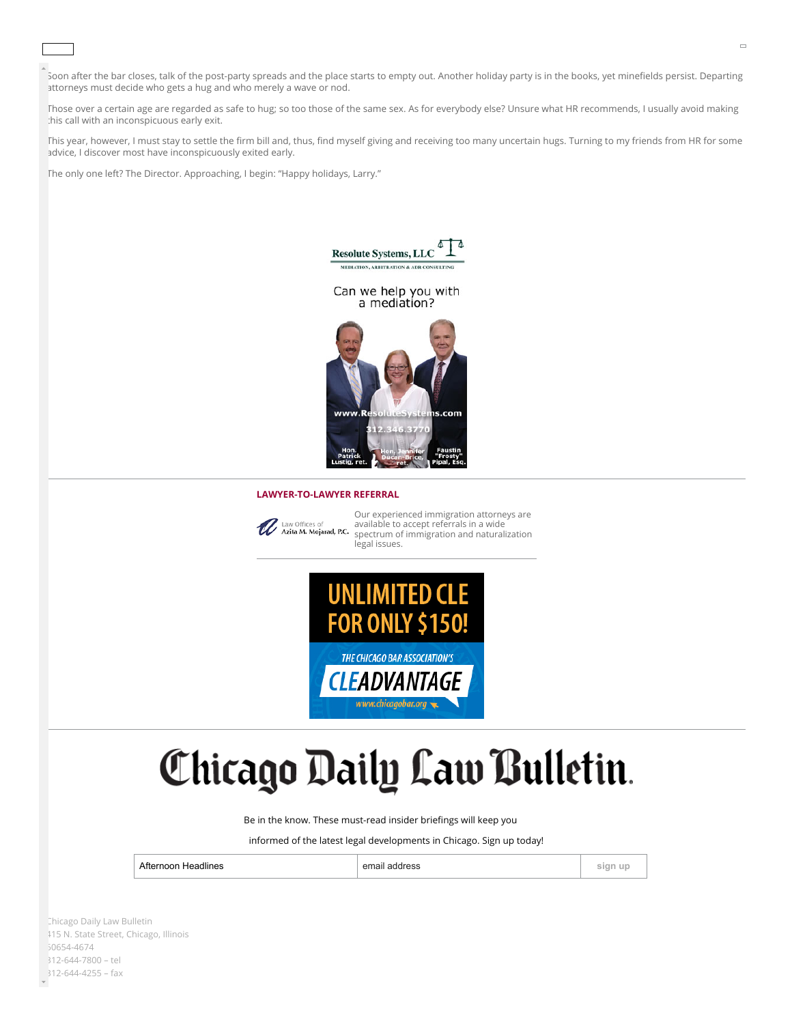Soon after the bar closes, talk of the post-party spreads and the place starts to empty out. Another holiday party is in the books, yet minefields persist. Departing attorneys must decide who gets a hug and who merely a wave or nod.

Lawyers with enough gumption (or consumption) to try grooving to Cardi B's "I Like It" at a 2018 holiday party probably lack as much good sense as rhythm or

Those over a certain age are regarded as safe to hug; so too those of the same sex. As for everybody else? Unsure what HR recommends, I usually avoid making this call with an inconspicuous early exit.

This year, however, I must stay to settle the firm bill and, thus, find myself giving and receiving too many uncertain hugs. Turning to my friends from HR for some advice, I discover most have inconspicuously exited early.

The only one left? The Director. Approaching, I begin: "Happy holidays, Larry."

perhaps take to the oor secretly aiming to increase their rm's philanthropy in 2019.



## **LAWYER-TO-LAWYER REFERRAL**



Our experienced immigration attorneys are available to accept referrals in a wide [spectrum of immigration and naturalization](https://display.lawbulletin.com/www/delivery/ck.php?oaparams=2__bannerid=2807__zoneid=264__cb=91b4e67f45__oadest=https%3A%2F%2Fazitalaw.com%2F) legal issues.



## Chicago Daily Law Bulletin.

Be in the know. These must-read insider briefings will keep you

informed of the latest legal developments in Chicago. Sign up today!

Afternoon Headlines **sign up sign up sign up sign up sign up sign up sign up sign up** 

Chicago Daily Law Bulletin 415 N. State Street, Chicago, Illinois 60654-4674 [312-644-7800](tel:+13126447800) – tel 312-644-4255 – fax